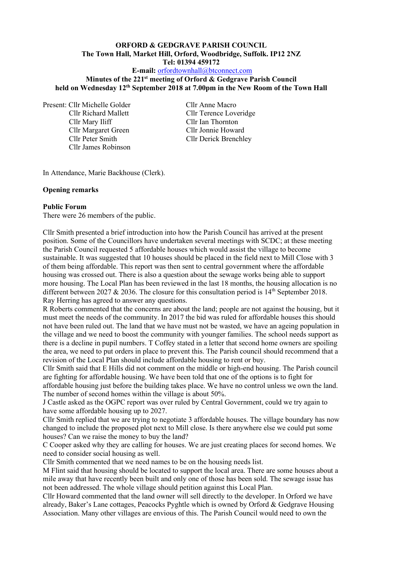# **ORFORD & GEDGRAVE PARISH COUNCIL The Town Hall, Market Hill, Orford, Woodbridge, Suffolk. IP12 2NZ Tel: 01394 459172**

# **E-mail:** [orfordtownhall@btconnect.com](mailto:orfordtownhall@btconnect.com)

#### **Minutes of the 221 st meeting of Orford & Gedgrave Parish Council held on Wednesday 12th September 2018 at 7.00pm in the New Room of the Town Hall**

Present: Cllr Michelle Golder Cllr Anne Macro Cllr Mary Iliff Cllr Ian Thornton Cllr Margaret Green Cllr Jonnie Howard Cllr James Robinson

Cllr Richard Mallett Cllr Terence Loveridge Cllr Peter Smith Cllr Derick Brenchley

In Attendance, Marie Backhouse (Clerk).

#### **Opening remarks**

#### **Public Forum**

There were 26 members of the public.

Cllr Smith presented a brief introduction into how the Parish Council has arrived at the present position. Some of the Councillors have undertaken several meetings with SCDC; at these meeting the Parish Council requested 5 affordable houses which would assist the village to become sustainable. It was suggested that 10 houses should be placed in the field next to Mill Close with 3 of them being affordable. This report was then sent to central government where the affordable housing was crossed out. There is also a question about the sewage works being able to support more housing. The Local Plan has been reviewed in the last 18 months, the housing allocation is no different between 2027  $& 2036$ . The closure for this consultation period is 14<sup>th</sup> September 2018. Ray Herring has agreed to answer any questions.

R Roberts commented that the concerns are about the land; people are not against the housing, but it must meet the needs of the community. In 2017 the bid was ruled for affordable houses this should not have been ruled out. The land that we have must not be wasted, we have an ageing population in the village and we need to boost the community with younger families. The school needs support as there is a decline in pupil numbers. T Coffey stated in a letter that second home owners are spoiling the area, we need to put orders in place to prevent this. The Parish council should recommend that a revision of the Local Plan should include affordable housing to rent or buy.

Cllr Smith said that E Hills did not comment on the middle or high-end housing. The Parish council are fighting for affordable housing. We have been told that one of the options is to fight for affordable housing just before the building takes place. We have no control unless we own the land. The number of second homes within the village is about 50%.

J Castle asked as the OGPC report was over ruled by Central Government, could we try again to have some affordable housing up to 2027.

Cllr Smith replied that we are trying to negotiate 3 affordable houses. The village boundary has now changed to include the proposed plot next to Mill close. Is there anywhere else we could put some houses? Can we raise the money to buy the land?

C Cooper asked why they are calling for houses. We are just creating places for second homes. We need to consider social housing as well.

Cllr Smith commented that we need names to be on the housing needs list.

M Flint said that housing should be located to support the local area. There are some houses about a mile away that have recently been built and only one of those has been sold. The sewage issue has not been addressed. The whole village should petition against this Local Plan.

Cllr Howard commented that the land owner will sell directly to the developer. In Orford we have already, Baker's Lane cottages, Peacocks Pyghtle which is owned by Orford & Gedgrave Housing Association. Many other villages are envious of this. The Parish Council would need to own the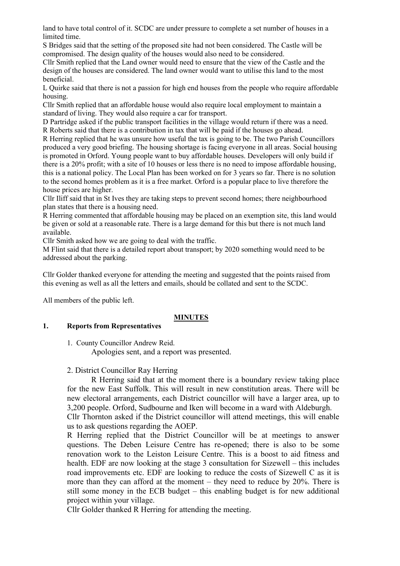land to have total control of it. SCDC are under pressure to complete a set number of houses in a limited time.

S Bridges said that the setting of the proposed site had not been considered. The Castle will be compromised. The design quality of the houses would also need to be considered.

Cllr Smith replied that the Land owner would need to ensure that the view of the Castle and the design of the houses are considered. The land owner would want to utilise this land to the most beneficial.

L Quirke said that there is not a passion for high end houses from the people who require affordable housing.

Cllr Smith replied that an affordable house would also require local employment to maintain a standard of living. They would also require a car for transport.

D Partridge asked if the public transport facilities in the village would return if there was a need. R Roberts said that there is a contribution in tax that will be paid if the houses go ahead.

R Herring replied that he was unsure how useful the tax is going to be. The two Parish Councillors produced a very good briefing. The housing shortage is facing everyone in all areas. Social housing is promoted in Orford. Young people want to buy affordable houses. Developers will only build if there is a 20% profit; with a site of 10 houses or less there is no need to impose affordable housing, this is a national policy. The Local Plan has been worked on for 3 years so far. There is no solution to the second homes problem as it is a free market. Orford is a popular place to live therefore the house prices are higher.

Cllr Iliff said that in St Ives they are taking steps to prevent second homes; there neighbourhood plan states that there is a housing need.

R Herring commented that affordable housing may be placed on an exemption site, this land would be given or sold at a reasonable rate. There is a large demand for this but there is not much land available.

Cllr Smith asked how we are going to deal with the traffic.

M Flint said that there is a detailed report about transport; by 2020 something would need to be addressed about the parking.

Cllr Golder thanked everyone for attending the meeting and suggested that the points raised from this evening as well as all the letters and emails, should be collated and sent to the SCDC.

All members of the public left.

#### **MINUTES**

#### **1. Reports from Representatives**

1. County Councillor Andrew Reid.

Apologies sent, and a report was presented.

### 2. District Councillor Ray Herring

R Herring said that at the moment there is a boundary review taking place for the new East Suffolk. This will result in new constitution areas. There will be new electoral arrangements, each District councillor will have a larger area, up to 3,200 people. Orford, Sudbourne and Iken will become in a ward with Aldeburgh.

Cllr Thornton asked if the District councillor will attend meetings, this will enable us to ask questions regarding the AOEP.

R Herring replied that the District Councillor will be at meetings to answer questions. The Deben Leisure Centre has re-opened; there is also to be some renovation work to the Leiston Leisure Centre. This is a boost to aid fitness and health. EDF are now looking at the stage 3 consultation for Sizewell – this includes road improvements etc. EDF are looking to reduce the costs of Sizewell C as it is more than they can afford at the moment – they need to reduce by 20%. There is still some money in the ECB budget – this enabling budget is for new additional project within your village.

Cllr Golder thanked R Herring for attending the meeting.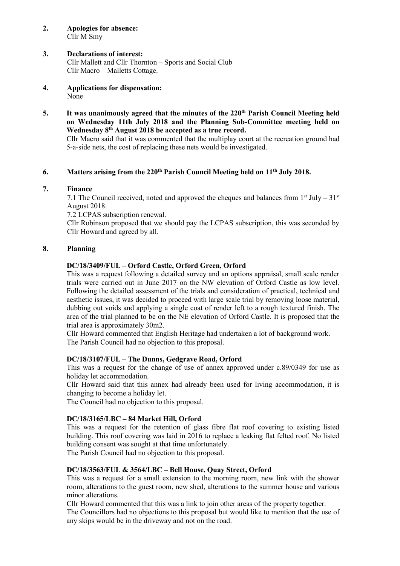**2. Apologies for absence:** Cllr M Smy

### **3. Declarations of interest:**

Cllr Mallett and Cllr Thornton – Sports and Social Club Cllr Macro – Malletts Cottage.

- **4. Applications for dispensation:** None
- **5. It was unanimously agreed that the minutes of the 220th Parish Council Meeting held on Wednesday 11th July 2018 and the Planning Sub-Committee meeting held on Wednesday 8 th August 2018 be accepted as a true record.**

Cllr Macro said that it was commented that the multiplay court at the recreation ground had 5-a-side nets, the cost of replacing these nets would be investigated.

### **6. Matters arising from the 220th Parish Council Meeting held on 11 th July 2018.**

### **7. Finance**

7.1 The Council received, noted and approved the cheques and balances from  $1<sup>st</sup>$  July – 31<sup>st</sup> August 2018.

7.2 LCPAS subscription renewal.

Cllr Robinson proposed that we should pay the LCPAS subscription, this was seconded by Cllr Howard and agreed by all.

### **8. Planning**

### **DC/18/3409/FUL – Orford Castle, Orford Green, Orford**

This was a request following a detailed survey and an options appraisal, small scale render trials were carried out in June 2017 on the NW elevation of Orford Castle as low level. Following the detailed assessment of the trials and consideration of practical, technical and aesthetic issues, it was decided to proceed with large scale trial by removing loose material, dubbing out voids and applying a single coat of render left to a rough textured finish. The area of the trial planned to be on the NE elevation of Orford Castle. It is proposed that the trial area is approximately 30m2.

Cllr Howard commented that English Heritage had undertaken a lot of background work. The Parish Council had no objection to this proposal.

#### **DC/18/3107/FUL – The Dunns, Gedgrave Road, Orford**

This was a request for the change of use of annex approved under c.89/0349 for use as holiday let accommodation.

Cllr Howard said that this annex had already been used for living accommodation, it is changing to become a holiday let.

The Council had no objection to this proposal.

#### **DC/18/3165/LBC – 84 Market Hill, Orford**

This was a request for the retention of glass fibre flat roof covering to existing listed building. This roof covering was laid in 2016 to replace a leaking flat felted roof. No listed building consent was sought at that time unfortunately.

The Parish Council had no objection to this proposal.

#### **DC/18/3563/FUL & 3564/LBC – Bell House, Quay Street, Orford**

This was a request for a small extension to the morning room, new link with the shower room, alterations to the guest room, new shed, alterations to the summer house and various minor alterations.

Cllr Howard commented that this was a link to join other areas of the property together.

The Councillors had no objections to this proposal but would like to mention that the use of any skips would be in the driveway and not on the road.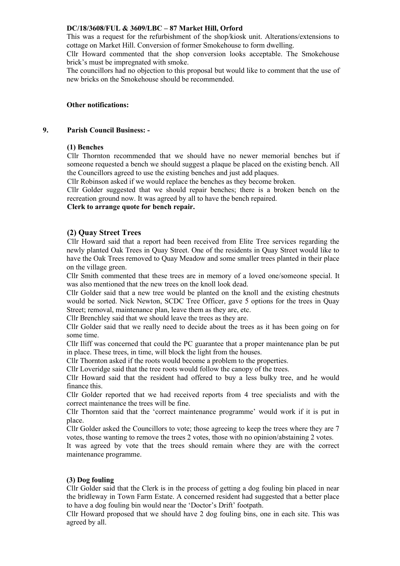### **DC/18/3608/FUL & 3609/LBC – 87 Market Hill, Orford**

This was a request for the refurbishment of the shop/kiosk unit. Alterations/extensions to cottage on Market Hill. Conversion of former Smokehouse to form dwelling.

Cllr Howard commented that the shop conversion looks acceptable. The Smokehouse brick's must be impregnated with smoke.

The councillors had no objection to this proposal but would like to comment that the use of new bricks on the Smokehouse should be recommended.

### **Other notifications:**

#### **9. Parish Council Business: -**

#### **(1) Benches**

Cllr Thornton recommended that we should have no newer memorial benches but if someone requested a bench we should suggest a plaque be placed on the existing bench. All the Councillors agreed to use the existing benches and just add plaques.

Cllr Robinson asked if we would replace the benches as they become broken.

Cllr Golder suggested that we should repair benches; there is a broken bench on the recreation ground now. It was agreed by all to have the bench repaired.

#### **Clerk to arrange quote for bench repair.**

### **(2) Quay Street Trees**

Cllr Howard said that a report had been received from Elite Tree services regarding the newly planted Oak Trees in Quay Street. One of the residents in Quay Street would like to have the Oak Trees removed to Quay Meadow and some smaller trees planted in their place on the village green.

Cllr Smith commented that these trees are in memory of a loved one/someone special. It was also mentioned that the new trees on the knoll look dead.

Cllr Golder said that a new tree would be planted on the knoll and the existing chestnuts would be sorted. Nick Newton, SCDC Tree Officer, gave 5 options for the trees in Quay Street; removal, maintenance plan, leave them as they are, etc.

Cllr Brenchley said that we should leave the trees as they are.

Cllr Golder said that we really need to decide about the trees as it has been going on for some time.

Cllr Iliff was concerned that could the PC guarantee that a proper maintenance plan be put in place. These trees, in time, will block the light from the houses.

Cllr Thornton asked if the roots would become a problem to the properties.

Cllr Loveridge said that the tree roots would follow the canopy of the trees.

Cllr Howard said that the resident had offered to buy a less bulky tree, and he would finance this.

Cllr Golder reported that we had received reports from 4 tree specialists and with the correct maintenance the trees will be fine.

Cllr Thornton said that the 'correct maintenance programme' would work if it is put in place.

Cllr Golder asked the Councillors to vote; those agreeing to keep the trees where they are 7 votes, those wanting to remove the trees 2 votes, those with no opinion/abstaining 2 votes.

It was agreed by vote that the trees should remain where they are with the correct maintenance programme.

#### **(3) Dog fouling**

Cllr Golder said that the Clerk is in the process of getting a dog fouling bin placed in near the bridleway in Town Farm Estate. A concerned resident had suggested that a better place to have a dog fouling bin would near the 'Doctor's Drift' footpath.

Cllr Howard proposed that we should have 2 dog fouling bins, one in each site. This was agreed by all.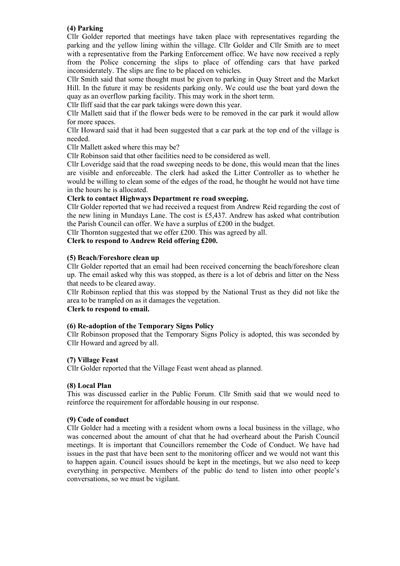### **(4) Parking**

Cllr Golder reported that meetings have taken place with representatives regarding the parking and the yellow lining within the village. Cllr Golder and Cllr Smith are to meet with a representative from the Parking Enforcement office. We have now received a reply from the Police concerning the slips to place of offending cars that have parked inconsiderately. The slips are fine to be placed on vehicles.

Cllr Smith said that some thought must be given to parking in Quay Street and the Market Hill. In the future it may be residents parking only. We could use the boat yard down the quay as an overflow parking facility. This may work in the short term.

Cllr Iliff said that the car park takings were down this year.

Cllr Mallett said that if the flower beds were to be removed in the car park it would allow for more spaces.

Cllr Howard said that it had been suggested that a car park at the top end of the village is needed.

Cllr Mallett asked where this may be?

Cllr Robinson said that other facilities need to be considered as well.

Cllr Loveridge said that the road sweeping needs to be done, this would mean that the lines are visible and enforceable. The clerk had asked the Litter Controller as to whether he would be willing to clean some of the edges of the road, he thought he would not have time in the hours he is allocated.

### **Clerk to contact Highways Department re road sweeping.**

Cllr Golder reported that we had received a request from Andrew Reid regarding the cost of the new lining in Mundays Lane. The cost is £5,437. Andrew has asked what contribution the Parish Council can offer. We have a surplus of £200 in the budget.

Cllr Thornton suggested that we offer £200. This was agreed by all.

### **Clerk to respond to Andrew Reid offering £200.**

#### **(5) Beach/Foreshore clean up**

Cllr Golder reported that an email had been received concerning the beach/foreshore clean up. The email asked why this was stopped, as there is a lot of debris and litter on the Ness that needs to be cleared away.

Cllr Robinson replied that this was stopped by the National Trust as they did not like the area to be trampled on as it damages the vegetation.

### **Clerk to respond to email.**

#### **(6) Re-adoption of the Temporary Signs Policy**

Cllr Robinson proposed that the Temporary Signs Policy is adopted, this was seconded by Cllr Howard and agreed by all.

#### **(7) Village Feast**

Cllr Golder reported that the Village Feast went ahead as planned.

#### **(8) Local Plan**

This was discussed earlier in the Public Forum. Cllr Smith said that we would need to reinforce the requirement for affordable housing in our response.

#### **(9) Code of conduct**

Cllr Golder had a meeting with a resident whom owns a local business in the village, who was concerned about the amount of chat that he had overheard about the Parish Council meetings. It is important that Councillors remember the Code of Conduct. We have had issues in the past that have been sent to the monitoring officer and we would not want this to happen again. Council issues should be kept in the meetings, but we also need to keep everything in perspective. Members of the public do tend to listen into other people's conversations, so we must be vigilant.